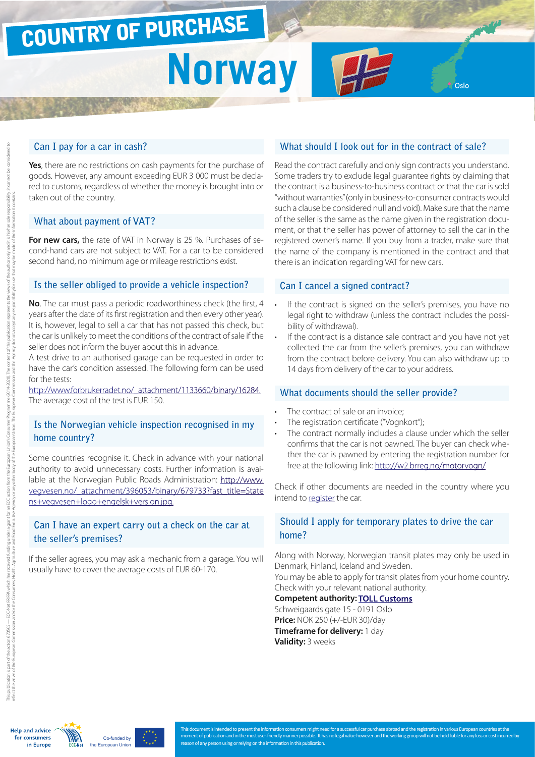# COUNTRY OF PURCHASE

# **Norway**

#### **Can I pay for a car in cash?**

**Yes**, there are no restrictions on cash payments for the purchase of goods. However, any amount exceeding EUR 3 000 must be declared to customs, regardless of whether the money is brought into or taken out of the country.

#### **What about payment of VAT?**

**For new cars,** the rate of VAT in Norway is 25 %. Purchases of second-hand cars are not subject to VAT. For a car to be considered second hand, no minimum age or mileage restrictions exist.

#### **Is the seller obliged to provide a vehicle inspection?**

**No**. The car must pass a periodic roadworthiness check (the first, 4 years after the date of its first registration and then every other year). It is, however, legal to sell a car that has not passed this check, but the car is unlikely to meet the conditions of the contract of sale if the seller does not inform the buyer about this in advance.

A test drive to an authorised garage can be requested in order to have the car's condition assessed. The following form can be used for the tests:

[http://www.forbrukerradet.no/\\_attachment/1133660/binary/16284](http://www.forbrukerradet.no/_attachment/1133660/binary/16284). The average cost of the test is EUR 150.

# **Is the Norwegian vehicle inspection recognised in my home country?**

Some countries recognise it. Check in advance with your national authority to avoid unnecessary costs. Further information is available at the Norwegian Public Roads Administration: [http://www.](http://www.vegvesen.no/_attachment/396053/binary/679733?fast_title=Statens+vegvesen+logo+engelsk+versjon.jpg) [vegvesen.no/\\_attachment/396053/binary/679733?fast\\_title=State](http://www.vegvesen.no/_attachment/396053/binary/679733?fast_title=Statens+vegvesen+logo+engelsk+versjon.jpg) [ns+vegvesen+logo+engelsk+versjon.jpg.](http://www.vegvesen.no/_attachment/396053/binary/679733?fast_title=Statens+vegvesen+logo+engelsk+versjon.jpg)

# **Can I have an expert carry out a check on the car at the seller's premises?**

If the seller agrees, you may ask a mechanic from a garage. You will usually have to cover the average costs of EUR 60-170.

# **What should I look out for in the contract of sale?**

Read the contract carefully and only sign contracts you understand. Some traders try to exclude legal guarantee rights by claiming that the contract is a business-to-business contract or that the car is sold "without warranties" (only in business-to-consumer contracts would such a clause be considered null and void). Make sure that the name of the seller is the same as the name given in the registration document, or that the seller has power of attorney to sell the car in the registered owner's name. If you buy from a trader, make sure that the name of the company is mentioned in the contract and that there is an indication regarding VAT for new cars.

#### **Can I cancel a signed contract?**

- If the contract is signed on the seller's premises, you have no legal right to withdraw (unless the contract includes the possibility of withdrawal).
- If the contract is a distance sale contract and you have not yet collected the car from the seller's premises, you can withdraw from the contract before delivery. You can also withdraw up to 14 days from delivery of the car to your address.

#### **What documents should the seller provide?**

- The contract of sale or an invoice:
- The registration certificate ("Vognkort");
- The contract normally includes a clause under which the seller confirms that the car is not pawned. The buyer can check whether the car is pawned by entering the registration number for free at the following link:<http://w2.brreg.no/motorvogn/>

Check if other documents are needed in the country where you intend to register the car.

# **Should I apply for temporary plates to drive the car home?**

Along with Norway, Norwegian transit plates may only be used in Denmark, Finland, Iceland and Sweden. You may be able to apply for transit plates from your home country.

Check with your relevant national authority.

**Competent authority: [TOLL Customs](http://www.toll.no/)** Schweigaards gate 15 - 0191 Oslo

**Price:** NOK 250 (+/-EUR 30)/day **Timeframe for delivery:** 1 day **Validity:** 3 weeks